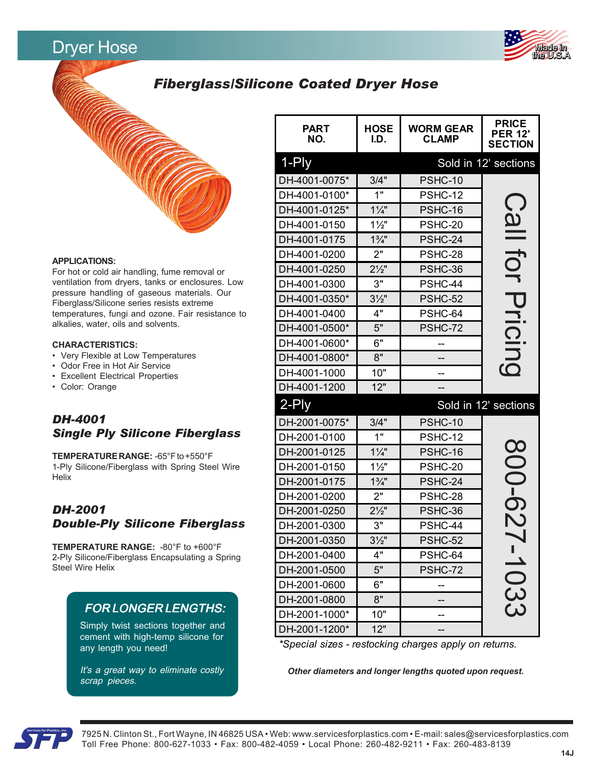# Dryer Hose



# *Fiberglass/Silicone Coated Dryer Hose*



#### **APPLICATIONS:**

For hot or cold air handling, fume removal or ventilation from dryers, tanks or enclosures. Low pressure handling of gaseous materials. Our Fiberglass/Silicone series resists extreme temperatures, fungi and ozone. Fair resistance to alkalies, water, oils and solvents.

#### **CHARACTERISTICS:**

- Very Flexible at Low Temperatures
- Odor Free in Hot Air Service
- Excellent Electrical Properties
- Color: Orange

# *DH-4001 Single Ply Silicone Fiberglass*

**TEMPERATURE RANGE:** -65°F to +550°F 1-Ply Silicone/Fiberglass with Spring Steel Wire Helix

## *DH-2001 Double-Ply Silicone Fiberglass*

**TEMPERATURE RANGE:** -80°F to +600°F 2-Ply Silicone/Fiberglass Encapsulating a Spring Steel Wire Helix

## **FOR LONGER LENGTHS:**

Simply twist sections together and cement with high-temp silicone for any length you need!

It's a great way to eliminate costly scrap pieces.

| <b>PART</b><br>NO.                                                                                               | <b>HOSE</b><br>I.D. | <b>WORM GEAR</b><br><b>CLAMP</b> | <b>PRICE</b><br><b>PER 12'</b><br><b>SECTION</b> |  |  |  |
|------------------------------------------------------------------------------------------------------------------|---------------------|----------------------------------|--------------------------------------------------|--|--|--|
| 1-Ply                                                                                                            |                     |                                  | Sold in 12' sections                             |  |  |  |
| DH-4001-0075*                                                                                                    | 3/4"                | PSHC-10                          |                                                  |  |  |  |
| DH-4001-0100*                                                                                                    | 1"                  | PSHC-12                          |                                                  |  |  |  |
| DH-4001-0125*                                                                                                    | $1\frac{1}{4}$      | PSHC-16                          | <u>Call</u>                                      |  |  |  |
| DH-4001-0150                                                                                                     | $1\frac{1}{2}$      | PSHC-20                          |                                                  |  |  |  |
| DH-4001-0175                                                                                                     | $1\frac{3}{4}$ "    | PSHC-24                          |                                                  |  |  |  |
| DH-4001-0200                                                                                                     | 2"                  | PSHC-28                          | UCL<br>S                                         |  |  |  |
| DH-4001-0250                                                                                                     | $2\frac{1}{2}$      | PSHC-36                          |                                                  |  |  |  |
| DH-4001-0300                                                                                                     | 3"                  | PSHC-44                          |                                                  |  |  |  |
| DH-4001-0350*                                                                                                    | $3\frac{1}{2}$      | PSHC-52                          |                                                  |  |  |  |
| DH-4001-0400                                                                                                     | 4"                  | PSHC-64                          |                                                  |  |  |  |
| DH-4001-0500*                                                                                                    | 5"                  | PSHC-72                          |                                                  |  |  |  |
| DH-4001-0600*                                                                                                    | 6"                  |                                  | Pricing                                          |  |  |  |
| DH-4001-0800*                                                                                                    | 8"                  |                                  |                                                  |  |  |  |
| DH-4001-1000                                                                                                     | 10"                 | --                               |                                                  |  |  |  |
| DH-4001-1200                                                                                                     | 12"                 |                                  |                                                  |  |  |  |
| $2$ -Ply                                                                                                         |                     |                                  | Sold in 12' sections                             |  |  |  |
| DH-2001-0075*                                                                                                    | 3/4"                | PSHC-10                          |                                                  |  |  |  |
| DH-2001-0100                                                                                                     | 1"                  | PSHC-12                          |                                                  |  |  |  |
| DH-2001-0125                                                                                                     | $1\frac{1}{4}$      | PSHC-16                          |                                                  |  |  |  |
| DH-2001-0150                                                                                                     | $1\frac{1}{2}$      | PSHC-20                          |                                                  |  |  |  |
| DH-2001-0175                                                                                                     | $1\frac{3}{4}$ "    | PSHC-24                          |                                                  |  |  |  |
| DH-2001-0200                                                                                                     | 2"                  | PSHC-28                          | 200-627                                          |  |  |  |
| DH-2001-0250                                                                                                     | $2\frac{1}{2}$      | PSHC-36                          |                                                  |  |  |  |
| DH-2001-0300                                                                                                     | 3"                  | PSHC-44                          |                                                  |  |  |  |
| DH-2001-0350                                                                                                     | $3\frac{1}{2}$      | PSHC-52                          |                                                  |  |  |  |
| DH-2001-0400                                                                                                     | 4"                  | PSHC-64                          | ш<br>$\overline{\phantom{0}}$                    |  |  |  |
| DH-2001-0500                                                                                                     | 5"                  | PSHC-72                          |                                                  |  |  |  |
| DH-2001-0600                                                                                                     | 6"                  |                                  |                                                  |  |  |  |
| DH-2001-0800                                                                                                     | 8"                  |                                  | 033                                              |  |  |  |
| DH-2001-1000*                                                                                                    | 10"                 |                                  |                                                  |  |  |  |
| DH-2001-1200*                                                                                                    | 12"                 |                                  |                                                  |  |  |  |
| *Special sizes - restocking charges apply on returns.<br>Other diameters and longer lengths quoted upon request. |                     |                                  |                                                  |  |  |  |